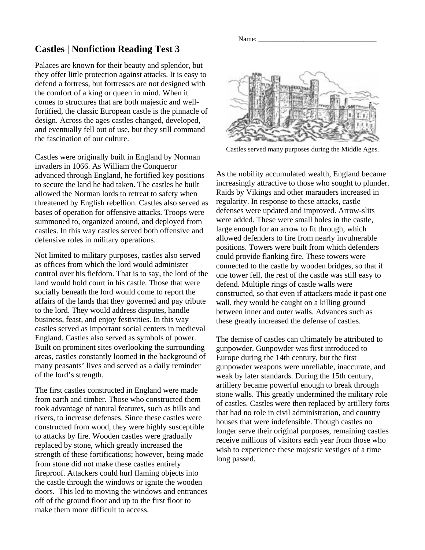## **Castles | Nonfiction Reading Test 3**

Palaces are known for their beauty and splendor, but they offer little protection against attacks. It is easy to defend a fortress, but fortresses are not designed with the comfort of a king or queen in mind. When it comes to structures that are both majestic and wellfortified, the classic European castle is the pinnacle of design. Across the ages castles changed, developed, and eventually fell out of use, but they still command the fascination of our culture.

Castles were originally built in England by Norman invaders in 1066. As William the Conqueror advanced through England, he fortified key positions to secure the land he had taken. The castles he built allowed the Norman lords to retreat to safety when threatened by English rebellion. Castles also served as bases of operation for offensive attacks. Troops were summoned to, organized around, and deployed from castles. In this way castles served both offensive and defensive roles in military operations.

Not limited to military purposes, castles also served as offices from which the lord would administer control over his fiefdom. That is to say, the lord of the land would hold court in his castle. Those that were socially beneath the lord would come to report the affairs of the lands that they governed and pay tribute to the lord. They would address disputes, handle business, feast, and enjoy festivities. In this way castles served as important social centers in medieval England. Castles also served as symbols of power. Built on prominent sites overlooking the surrounding areas, castles constantly loomed in the background of many peasants' lives and served as a daily reminder of the lord's strength.

The first castles constructed in England were made from earth and timber. Those who constructed them took advantage of natural features, such as hills and rivers, to increase defenses. Since these castles were constructed from wood, they were highly susceptible to attacks by fire. Wooden castles were gradually replaced by stone, which greatly increased the strength of these fortifications; however, being made from stone did not make these castles entirely fireproof. Attackers could hurl flaming objects into the castle through the windows or ignite the wooden doors. This led to moving the windows and entrances off of the ground floor and up to the first floor to make them more difficult to access.



Castles served many purposes during the Middle Ages.

As the nobility accumulated wealth, England became increasingly attractive to those who sought to plunder. Raids by Vikings and other marauders increased in regularity. In response to these attacks, castle defenses were updated and improved. Arrow-slits were added. These were small holes in the castle, large enough for an arrow to fit through, which allowed defenders to fire from nearly invulnerable positions. Towers were built from which defenders could provide flanking fire. These towers were connected to the castle by wooden bridges, so that if one tower fell, the rest of the castle was still easy to defend. Multiple rings of castle walls were constructed, so that even if attackers made it past one wall, they would be caught on a killing ground between inner and outer walls. Advances such as these greatly increased the defense of castles.

The demise of castles can ultimately be attributed to gunpowder. Gunpowder was first introduced to Europe during the 14th century, but the first gunpowder weapons were unreliable, inaccurate, and weak by later standards. During the 15th century, artillery became powerful enough to break through stone walls. This greatly undermined the military role of castles. Castles were then replaced by artillery forts that had no role in civil administration, and country houses that were indefensible. Though castles no longer serve their original purposes, remaining castles receive millions of visitors each year from those who wish to experience these majestic vestiges of a time long passed.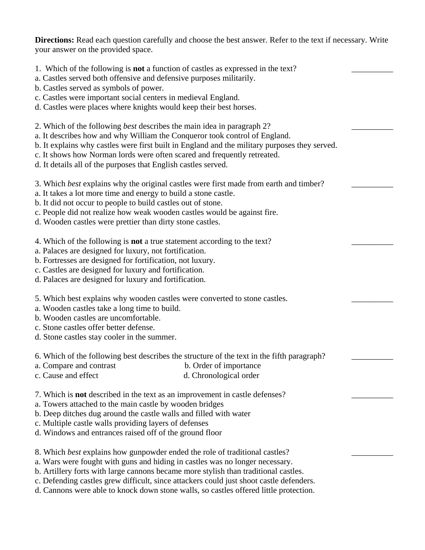**Directions:** Read each question carefully and choose the best answer. Refer to the text if necessary. Write your answer on the provided space.

\_\_\_\_\_\_\_\_\_\_

\_\_\_\_\_\_\_\_\_\_

\_\_\_\_\_\_\_\_\_\_

 $\overline{\phantom{a}}$ 

\_\_\_\_\_\_\_\_\_\_

\_\_\_\_\_\_\_\_\_\_

\_\_\_\_\_\_\_\_\_\_

\_\_\_\_\_\_\_\_\_\_

- 1. Which of the following is **not** a function of castles as expressed in the text?
- a. Castles served both offensive and defensive purposes militarily.
- b. Castles served as symbols of power.
- c. Castles were important social centers in medieval England.
- d. Castles were places where knights would keep their best horses.
- 2. Which of the following *best* describes the main idea in paragraph 2?
- a. It describes how and why William the Conqueror took control of England.
- b. It explains why castles were first built in England and the military purposes they served.
- c. It shows how Norman lords were often scared and frequently retreated.
- d. It details all of the purposes that English castles served.
- 3. Which *best* explains why the original castles were first made from earth and timber?
- a. It takes a lot more time and energy to build a stone castle.
- b. It did not occur to people to build castles out of stone.
- c. People did not realize how weak wooden castles would be against fire.
- d. Wooden castles were prettier than dirty stone castles.
- 4. Which of the following is **not** a true statement according to the text?
- a. Palaces are designed for luxury, not fortification.
- b. Fortresses are designed for fortification, not luxury.
- c. Castles are designed for luxury and fortification.
- d. Palaces are designed for luxury and fortification.
- 5. Which best explains why wooden castles were converted to stone castles.
- a. Wooden castles take a long time to build.
- b. Wooden castles are uncomfortable.
- c. Stone castles offer better defense.
- d. Stone castles stay cooler in the summer.
- 6. Which of the following best describes the structure of the text in the fifth paragraph?
- a. Compare and contrast b. Order of importance
- c. Cause and effect d. Chronological order
- 7. Which is **not** described in the text as an improvement in castle defenses?
- a. Towers attached to the main castle by wooden bridges
- b. Deep ditches dug around the castle walls and filled with water
- c. Multiple castle walls providing layers of defenses
- d. Windows and entrances raised off of the ground floor
- 8. Which *best* explains how gunpowder ended the role of traditional castles?
- a. Wars were fought with guns and hiding in castles was no longer necessary.
- b. Artillery forts with large cannons became more stylish than traditional castles.
- c. Defending castles grew difficult, since attackers could just shoot castle defenders.
- d. Cannons were able to knock down stone walls, so castles offered little protection.